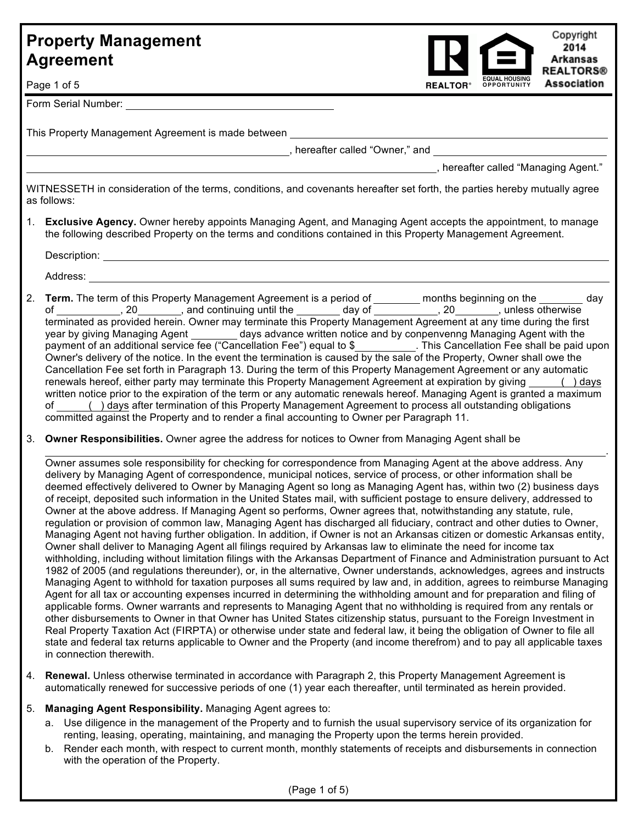

Page 1 of 5

Form Serial Number:

This Property Management Agreement is made between

, hereafter called "Owner," and

, hereafter called "Managing Agent."

.

WITNESSETH in consideration of the terms, conditions, and covenants hereafter set forth, the parties hereby mutually agree as follows:

1. **Exclusive Agency.** Owner hereby appoints Managing Agent, and Managing Agent accepts the appointment, to manage the following described Property on the terms and conditions contained in this Property Management Agreement.

Description: **Example 2018** 

Address:

- 2. **Term.** The term of this Property Management Agreement is a period of **months beginning on the day** day of \_\_\_\_\_\_\_\_\_\_\_, 20\_\_\_\_\_\_\_\_, and continuing until the \_\_\_\_\_\_\_\_ day of \_\_\_\_\_\_\_\_\_\_\_, 20  $\hskip1cm$ , unless otherwise terminated as provided herein. Owner may terminate this Property Management Agreement at any time during the first year by giving Managing Agent \_\_\_\_\_\_\_\_\_ days advance written notice and by conpenvenng Managing Agent with the payment of an additional service fee ("Cancellation Fee") equal to \$ . This Cancellation Fee shall be paid upon Owner's delivery of the notice. In the event the termination is caused by the sale of the Property, Owner shall owe the Cancellation Fee set forth in Paragraph 13. During the term of this Property Management Agreement or any automatic renewals hereof, either party may terminate this Property Management Agreement at expiration by giving ( ) days written notice prior to the expiration of the term or any automatic renewals hereof. Managing Agent is granted a maximum of ( ) days after termination of this Property Management Agreement to process all outstanding obligations committed against the Property and to render a final accounting to Owner per Paragraph 11.
- 3. **Owner Responsibilities.** Owner agree the address for notices to Owner from Managing Agent shall be

Owner assumes sole responsibility for checking for correspondence from Managing Agent at the above address. Any delivery by Managing Agent of correspondence, municipal notices, service of process, or other information shall be deemed effectively delivered to Owner by Managing Agent so long as Managing Agent has, within two (2) business days of receipt, deposited such information in the United States mail, with sufficient postage to ensure delivery, addressed to Owner at the above address. If Managing Agent so performs, Owner agrees that, notwithstanding any statute, rule, regulation or provision of common law, Managing Agent has discharged all fiduciary, contract and other duties to Owner, Managing Agent not having further obligation. In addition, if Owner is not an Arkansas citizen or domestic Arkansas entity, Owner shall deliver to Managing Agent all filings required by Arkansas law to eliminate the need for income tax withholding, including without limitation filings with the Arkansas Department of Finance and Administration pursuant to Act 1982 of 2005 (and regulations thereunder), or, in the alternative, Owner understands, acknowledges, agrees and instructs Managing Agent to withhold for taxation purposes all sums required by law and, in addition, agrees to reimburse Managing Agent for all tax or accounting expenses incurred in determining the withholding amount and for preparation and filing of applicable forms. Owner warrants and represents to Managing Agent that no withholding is required from any rentals or other disbursements to Owner in that Owner has United States citizenship status, pursuant to the Foreign Investment in Real Property Taxation Act (FIRPTA) or otherwise under state and federal law, it being the obligation of Owner to file all state and federal tax returns applicable to Owner and the Property (and income therefrom) and to pay all applicable taxes in connection therewith.

- 4. **Renewal.** Unless otherwise terminated in accordance with Paragraph 2, this Property Management Agreement is automatically renewed for successive periods of one (1) year each thereafter, until terminated as herein provided.
- 5. **Managing Agent Responsibility.** Managing Agent agrees to:
	- a. Use diligence in the management of the Property and to furnish the usual supervisory service of its organization for renting, leasing, operating, maintaining, and managing the Property upon the terms herein provided.
	- b. Render each month, with respect to current month, monthly statements of receipts and disbursements in connection with the operation of the Property.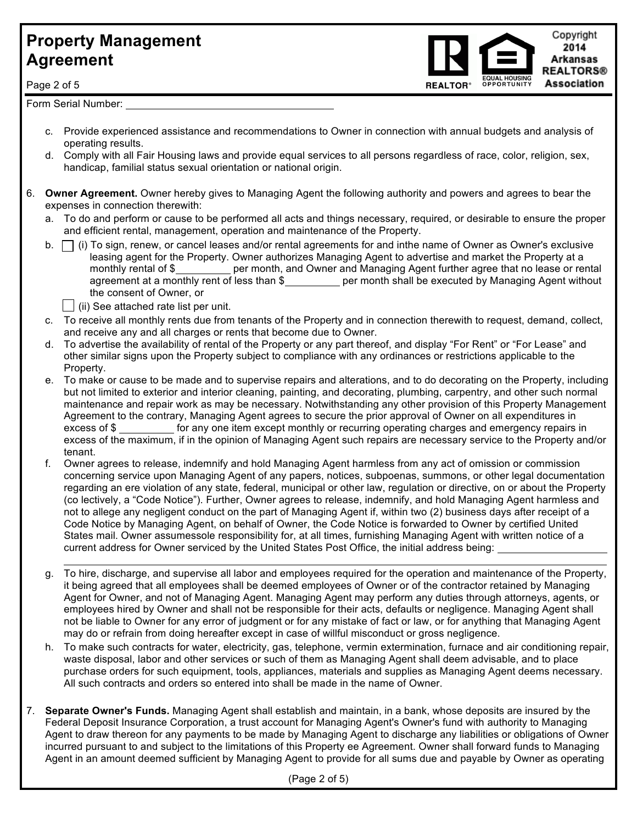Copyright 2014 **Arkansas REALTORS® Association OPPORTUNITY** 

Page 2 of 5

Form Serial Number:

 $\overline{a}$ 

- c. Provide experienced assistance and recommendations to Owner in connection with annual budgets and analysis of operating results.
- d. Comply with all Fair Housing laws and provide equal services to all persons regardless of race, color, religion, sex, handicap, familial status sexual orientation or national origin.
- 6. **Owner Agreement.** Owner hereby gives to Managing Agent the following authority and powers and agrees to bear the expenses in connection therewith:
	- a. To do and perform or cause to be performed all acts and things necessary, required, or desirable to ensure the proper and efficient rental, management, operation and maintenance of the Property.
	- b.  $\Box$  (i) To sign, renew, or cancel leases and/or rental agreements for and inthe name of Owner as Owner's exclusive leasing agent for the Property. Owner authorizes Managing Agent to advertise and market the Property at a monthly rental of \$\_\_\_\_\_\_\_\_\_ per month, and Owner and Managing Agent further agree that no lease or rental agreement at a monthly rent of less than \$\_\_\_\_\_\_\_\_\_ per month shall be executed by Managing Agent without the consent of Owner, or
		- $\vert \ \vert$  (ii) See attached rate list per unit.
	- c. To receive all monthly rents due from tenants of the Property and in connection therewith to request, demand, collect, and receive any and all charges or rents that become due to Owner.
	- d. To advertise the availability of rental of the Property or any part thereof, and display "For Rent" or "For Lease" and other similar signs upon the Property subject to compliance with any ordinances or restrictions applicable to the Property.
	- e. To make or cause to be made and to supervise repairs and alterations, and to do decorating on the Property, including but not limited to exterior and interior cleaning, painting, and decorating, plumbing, carpentry, and other such normal maintenance and repair work as may be necessary. Notwithstanding any other provision of this Property Management Agreement to the contrary, Managing Agent agrees to secure the prior approval of Owner on all expenditures in excess of \$ for any one item except monthly or recurring operating charges and emergency repairs in excess of the maximum, if in the opinion of Managing Agent such repairs are necessary service to the Property and/or tenant.
	- f. Owner agrees to release, indemnify and hold Managing Agent harmless from any act of omission or commission concerning service upon Managing Agent of any papers, notices, subpoenas, summons, or other legal documentation regarding an ere violation of any state, federal, municipal or other law, regulation or directive, on or about the Property (co lectively, a "Code Notice"). Further, Owner agrees to release, indemnify, and hold Managing Agent harmless and not to allege any negligent conduct on the part of Managing Agent if, within two (2) business days after receipt of a Code Notice by Managing Agent, on behalf of Owner, the Code Notice is forwarded to Owner by certified United States mail. Owner assumessole responsibility for, at all times, furnishing Managing Agent with written notice of a current address for Owner serviced by the United States Post Office, the initial address being:
	- g. To hire, discharge, and supervise all labor and employees required for the operation and maintenance of the Property, it being agreed that all employees shall be deemed employees of Owner or of the contractor retained by Managing Agent for Owner, and not of Managing Agent. Managing Agent may perform any duties through attorneys, agents, or employees hired by Owner and shall not be responsible for their acts, defaults or negligence. Managing Agent shall not be liable to Owner for any error of judgment or for any mistake of fact or law, or for anything that Managing Agent may do or refrain from doing hereafter except in case of willful misconduct or gross negligence.
	- h. To make such contracts for water, electricity, gas, telephone, vermin extermination, furnace and air conditioning repair, waste disposal, labor and other services or such of them as Managing Agent shall deem advisable, and to place purchase orders for such equipment, tools, appliances, materials and supplies as Managing Agent deems necessary. All such contracts and orders so entered into shall be made in the name of Owner.
- 7. **Separate Owner's Funds.** Managing Agent shall establish and maintain, in a bank, whose deposits are insured by the Federal Deposit Insurance Corporation, a trust account for Managing Agent's Owner's fund with authority to Managing Agent to draw thereon for any payments to be made by Managing Agent to discharge any liabilities or obligations of Owner incurred pursuant to and subject to the limitations of this Property ee Agreement. Owner shall forward funds to Managing Agent in an amount deemed sufficient by Managing Agent to provide for all sums due and payable by Owner as operating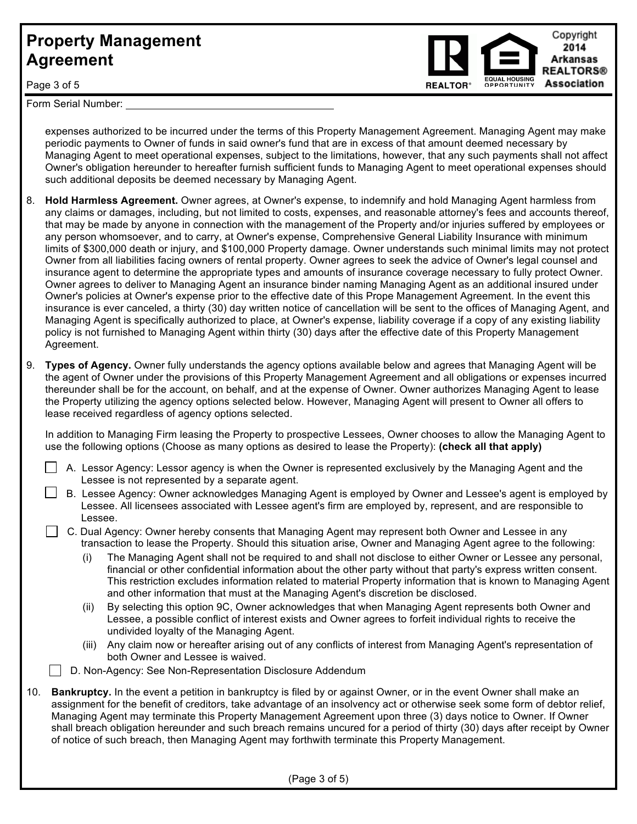

Page 3 of 5

Form Serial Number:

expenses authorized to be incurred under the terms of this Property Management Agreement. Managing Agent may make periodic payments to Owner of funds in said owner's fund that are in excess of that amount deemed necessary by Managing Agent to meet operational expenses, subject to the limitations, however, that any such payments shall not affect Owner's obligation hereunder to hereafter furnish sufficient funds to Managing Agent to meet operational expenses should such additional deposits be deemed necessary by Managing Agent.

- 8. **Hold Harmless Agreement.** Owner agrees, at Owner's expense, to indemnify and hold Managing Agent harmless from any claims or damages, including, but not limited to costs, expenses, and reasonable attorney's fees and accounts thereof, that may be made by anyone in connection with the management of the Property and/or injuries suffered by employees or any person whomsoever, and to carry, at Owner's expense, Comprehensive General Liability Insurance with minimum limits of \$300,000 death or injury, and \$100,000 Property damage. Owner understands such minimal limits may not protect Owner from all liabilities facing owners of rental property. Owner agrees to seek the advice of Owner's legal counsel and insurance agent to determine the appropriate types and amounts of insurance coverage necessary to fully protect Owner. Owner agrees to deliver to Managing Agent an insurance binder naming Managing Agent as an additional insured under Owner's policies at Owner's expense prior to the effective date of this Prope Management Agreement. In the event this insurance is ever canceled, a thirty (30) day written notice of cancellation will be sent to the offices of Managing Agent, and Managing Agent is specifically authorized to place, at Owner's expense, liability coverage if a copy of any existing liability policy is not furnished to Managing Agent within thirty (30) days after the effective date of this Property Management Agreement.
- 9. **Types of Agency.** Owner fully understands the agency options available below and agrees that Managing Agent will be the agent of Owner under the provisions of this Property Management Agreement and all obligations or expenses incurred thereunder shall be for the account, on behalf, and at the expense of Owner. Owner authorizes Managing Agent to lease the Property utilizing the agency options selected below. However, Managing Agent will present to Owner all offers to lease received regardless of agency options selected.

In addition to Managing Firm leasing the Property to prospective Lessees, Owner chooses to allow the Managing Agent to use the following options (Choose as many options as desired to lease the Property): **(check all that apply)**

- A. Lessor Agency: Lessor agency is when the Owner is represented exclusively by the Managing Agent and the Lessee is not represented by a separate agent.
- B. Lessee Agency: Owner acknowledges Managing Agent is employed by Owner and Lessee's agent is employed by Lessee. All licensees associated with Lessee agent's firm are employed by, represent, and are responsible to Lessee.

### C. Dual Agency: Owner hereby consents that Managing Agent may represent both Owner and Lessee in any transaction to lease the Property. Should this situation arise, Owner and Managing Agent agree to the following:

- (i) The Managing Agent shall not be required to and shall not disclose to either Owner or Lessee any personal, financial or other confidential information about the other party without that party's express written consent. This restriction excludes information related to material Property information that is known to Managing Agent and other information that must at the Managing Agent's discretion be disclosed.
- (ii) By selecting this option 9C, Owner acknowledges that when Managing Agent represents both Owner and Lessee, a possible conflict of interest exists and Owner agrees to forfeit individual rights to receive the undivided loyalty of the Managing Agent.
- (iii) Any claim now or hereafter arising out of any conflicts of interest from Managing Agent's representation of both Owner and Lessee is waived.
- D. Non-Agency: See Non-Representation Disclosure Addendum
- 10. **Bankruptcy.** In the event a petition in bankruptcy is filed by or against Owner, or in the event Owner shall make an assignment for the benefit of creditors, take advantage of an insolvency act or otherwise seek some form of debtor relief, Managing Agent may terminate this Property Management Agreement upon three (3) days notice to Owner. If Owner shall breach obligation hereunder and such breach remains uncured for a period of thirty (30) days after receipt by Owner of notice of such breach, then Managing Agent may forthwith terminate this Property Management.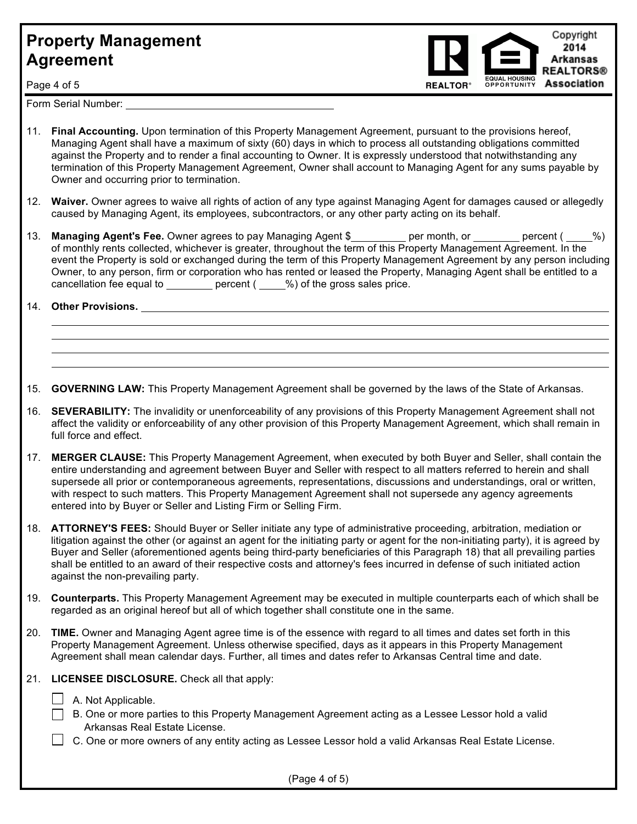Copyright 2014 **Arkansas REALTORS® Association OPPORTUNITY** 

Page 4 of 5

Form Serial Number:<br>
Serial Sumber:<br>
Serial Sumber:

- 11. **Final Accounting.** Upon termination of this Property Management Agreement, pursuant to the provisions hereof, Managing Agent shall have a maximum of sixty (60) days in which to process all outstanding obligations committed against the Property and to render a final accounting to Owner. It is expressly understood that notwithstanding any termination of this Property Management Agreement, Owner shall account to Managing Agent for any sums payable by Owner and occurring prior to termination.
- 12. **Waiver.** Owner agrees to waive all rights of action of any type against Managing Agent for damages caused or allegedly caused by Managing Agent, its employees, subcontractors, or any other party acting on its behalf.
- 13. **Managing Agent's Fee.** Owner agrees to pay Managing Agent \$\_\_\_\_\_\_\_\_ per month, or \_\_\_\_\_\_\_ percent ( \_\_\_\_%) of monthly rents collected, whichever is greater, throughout the term of this Property Management Agreement. In the event the Property is sold or exchanged during the term of this Property Management Agreement by any person including Owner, to any person, firm or corporation who has rented or leased the Property, Managing Agent shall be entitled to a cancellation fee equal to  $\frac{1}{\sqrt{2}}$  percent ( $\frac{1}{\sqrt{2}}$ ) of the gross sales price.

14. **Other Provisions.**

  $\overline{a}$  $\overline{a}$  $\overline{a}$ 

15. **GOVERNING LAW:** This Property Management Agreement shall be governed by the laws of the State of Arkansas.

- 16. **SEVERABILITY:** The invalidity or unenforceability of any provisions of this Property Management Agreement shall not affect the validity or enforceability of any other provision of this Property Management Agreement, which shall remain in full force and effect.
- 17. **MERGER CLAUSE:** This Property Management Agreement, when executed by both Buyer and Seller, shall contain the entire understanding and agreement between Buyer and Seller with respect to all matters referred to herein and shall supersede all prior or contemporaneous agreements, representations, discussions and understandings, oral or written, with respect to such matters. This Property Management Agreement shall not supersede any agency agreements entered into by Buyer or Seller and Listing Firm or Selling Firm.
- 18. **ATTORNEY'S FEES:** Should Buyer or Seller initiate any type of administrative proceeding, arbitration, mediation or litigation against the other (or against an agent for the initiating party or agent for the non-initiating party), it is agreed by Buyer and Seller (aforementioned agents being third-party beneficiaries of this Paragraph 18) that all prevailing parties shall be entitled to an award of their respective costs and attorney's fees incurred in defense of such initiated action against the non-prevailing party.
- 19. **Counterparts.** This Property Management Agreement may be executed in multiple counterparts each of which shall be regarded as an original hereof but all of which together shall constitute one in the same.
- 20. **TIME.** Owner and Managing Agent agree time is of the essence with regard to all times and dates set forth in this Property Management Agreement. Unless otherwise specified, days as it appears in this Property Management Agreement shall mean calendar days. Further, all times and dates refer to Arkansas Central time and date.
- 21. **LICENSEE DISCLOSURE.** Check all that apply:
	- $\Box$  A. Not Applicable.
	- $\Box$  B. One or more parties to this Property Management Agreement acting as a Lessee Lessor hold a valid Arkansas Real Estate License.
	- $\Box$  C. One or more owners of any entity acting as Lessee Lessor hold a valid Arkansas Real Estate License.